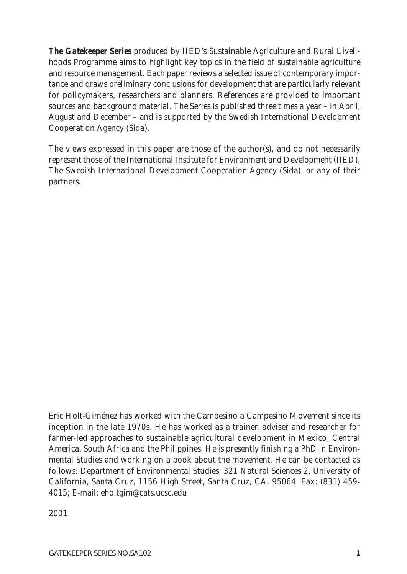*The Gatekeeper Series produced by IIED's Sustainable Agriculture and Rural Livelihoods Programme aims to highlight key topics in the field of sustainable agriculture and resource management. Each paper reviews a selected issue of contemporary importance and draws preliminary conclusions for development that are particularly relevant for policymakers, researchers and planners. References are provided to important sources and background material. The Series is published three times a year – in April, August and December – and is supported by the Swedish International Development Cooperation Agency (Sida).* 

*The views expressed in this paper are those of the author(s), and do not necessarily represent those of the International Institute for Environment and Development (IIED), The Swedish International Development Cooperation Agency (Sida), or any of their partners.* 

Eric Holt-Giménez has worked with the *Campesino a Campesino* Movement since its inception in the late 1970s. He has worked as a trainer, adviser and researcher for farmer-led approaches to sustainable agricultural development in Mexico, Central America, South Africa and the Philippines. He is presently finishing a PhD in Environmental Studies and working on a book about the movement. He can be contacted as follows: Department of Environmental Studies, 321 Natural Sciences 2, University of California, Santa Cruz, 1156 High Street, Santa Cruz, CA, 95064. Fax: (831) 459- 4015; E-mail: eholtgim@cats.ucsc.edu

2001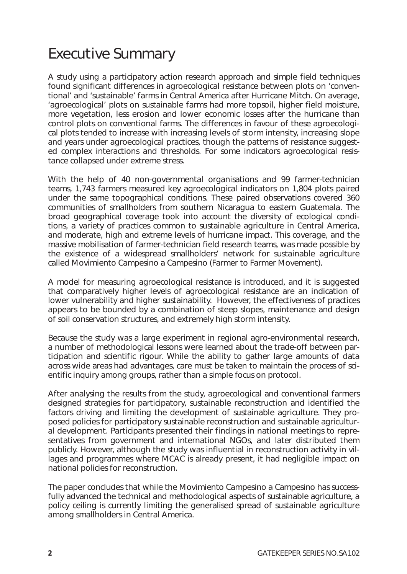## Executive Summary

A study using a participatory action research approach and simple field techniques found significant differences in agroecological resistance between plots on 'conventional' and 'sustainable' farms in Central America after Hurricane Mitch. On average, 'agroecological' plots on sustainable farms had more topsoil, higher field moisture, more vegetation, less erosion and lower economic losses after the hurricane than control plots on conventional farms. The differences in favour of these agroecological plots tended to increase with increasing levels of storm intensity, increasing slope and years under agroecological practices, though the patterns of resistance suggested complex interactions and thresholds. For some indicators agroecological resistance collapsed under extreme stress.

With the help of 40 non-governmental organisations and 99 farmer-technician teams, 1,743 farmers measured key agroecological indicators on 1,804 plots paired under the same topographical conditions. These paired observations covered 360 communities of smallholders from southern Nicaragua to eastern Guatemala. The broad geographical coverage took into account the diversity of ecological conditions, a variety of practices common to sustainable agriculture in Central America, and moderate, high and extreme levels of hurricane impact. This coverage, and the massive mobilisation of farmer-technician field research teams, was made possible by the existence of a widespread smallholders' network for sustainable agriculture called *Movimiento Campesino a Campesino* (Farmer to Farmer Movement).

A model for measuring agroecological resistance is introduced, and it is suggested that comparatively higher levels of agroecological resistance are an indication of lower vulnerability and higher sustainability. However, the effectiveness of practices appears to be bounded by a combination of steep slopes, maintenance and design of soil conservation structures, and extremely high storm intensity.

Because the study was a large experiment in regional agro-environmental research, a number of methodological lessons were learned about the trade-off between participation and scientific rigour. While the ability to gather large amounts of data across wide areas had advantages, care must be taken to maintain the process of scientific inquiry among groups, rather than a simple focus on protocol.

After analysing the results from the study, agroecological and conventional farmers designed strategies for participatory, sustainable reconstruction and identified the factors driving and limiting the development of sustainable agriculture. They proposed policies for participatory sustainable reconstruction and sustainable agricultural development. Participants presented their findings in national meetings to representatives from government and international NGOs, and later distributed them publicly. However, although the study was influential in reconstruction activity in villages and programmes where MCAC is already present, it had negligible impact on national policies for reconstruction.

The paper concludes that while the *Movimiento Campesino a Campesino* has successfully advanced the technical and methodological aspects of sustainable agriculture, *a policy ceiling* is currently limiting the generalised spread of sustainable agriculture among smallholders in Central America.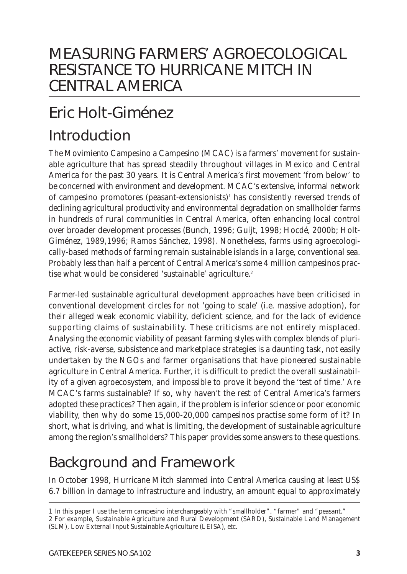## MEASURING FARMERS' AGROECOLOGICAL RESISTANCE TO HURRICANE MITCH IN CENTRAL AMERICA

# Eric Holt-Giménez

## Introduction

The *Movimiento Campesino a Campesino* (MCAC) is a farmers' movement for sustainable agriculture that has spread steadily throughout villages in Mexico and Central America for the past 30 years. It is Central America's first movement 'from below' to be concerned with environment and development. MCAC's extensive, informal network of *campesino promotores* (peasant-extensionists)1 has consistently reversed trends of declining agricultural productivity and environmental degradation on smallholder farms in hundreds of rural communities in Central America, often enhancing local control over broader development processes (Bunch, 1996; Guijt, 1998; Hocdé, 2000b; Holt-Giménez, 1989,1996; Ramos Sánchez, 1998). Nonetheless, farms using agroecologically-based methods of farming remain sustainable islands in a large, conventional sea. Probably less than half a percent of Central America's some 4 million campesinos practise what would be considered 'sustainable' agriculture.<sup>2</sup>

Farmer-led sustainable agricultural development approaches have been criticised in conventional development circles for not 'going to scale' (i.e. massive adoption), for their alleged weak economic viability, deficient science, and for the lack of evidence supporting claims of sustainability. These criticisms are not entirely misplaced. Analysing the economic viability of peasant farming styles with complex blends of pluriactive, risk-averse, subsistence and marketplace strategies is a daunting task, not easily undertaken by the NGOs and farmer organisations that have pioneered sustainable agriculture in Central America. Further, it is difficult to predict the overall sustainability of a given agroecosystem, and impossible to prove it beyond the 'test of time.' Are MCAC's farms sustainable? If so, why haven't the rest of Central America's farmers adopted these practices? Then again, if the problem is inferior science or poor economic viability, then why *do* some 15,000-20,000 *campesinos* practise some form of it? In short, what is driving, and what is limiting, the development of sustainable agriculture among the region's smallholders? This paper provides some answers to these questions.

## Background and Framework

In October 1998, Hurricane Mitch slammed into Central America causing at least US\$ 6.7 billion in damage to infrastructure and industry, an amount equal to approximately

*<sup>1</sup> In this paper I use the term* campesino *interchangeably with "smallholder", "farmer" and "peasant." 2 For example, Sustainable Agriculture and Rural Development (SARD), Sustainable Land Management (SLM), Low External Input Sustainable Agriculture (LEISA), etc.*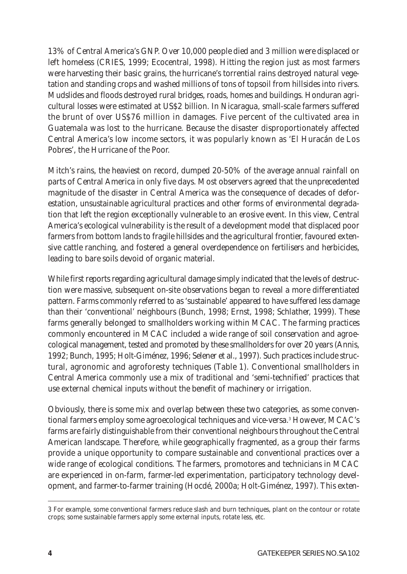13% of Central America's GNP. Over 10,000 people died and 3 million were displaced or left homeless (CRIES, 1999; Ecocentral, 1998). Hitting the region just as most farmers were harvesting their basic grains, the hurricane's torrential rains destroyed natural vegetation and standing crops and washed millions of tons of topsoil from hillsides into rivers. Mudslides and floods destroyed rural bridges, roads, homes and buildings. Honduran agricultural losses were estimated at US\$2 billion. In Nicaragua, small-scale farmers suffered the brunt of over US\$76 million in damages. Five percent of the cultivated area in Guatemala was lost to the hurricane. Because the disaster disproportionately affected Central America's low income sectors, it was popularly known as 'El Huracán de Los Pobres', the Hurricane of the Poor.

Mitch's rains, the heaviest on record, dumped 20-50% of the average annual rainfall on parts of Central America in only five days. Most observers agreed that the unprecedented magnitude of the disaster in Central America was the consequence of decades of deforestation, unsustainable agricultural practices and other forms of environmental degradation that left the region exceptionally vulnerable to an erosive event. In this view, Central America's ecological vulnerability is the result of a development model that displaced poor farmers from bottom lands to fragile hillsides and the agricultural frontier, favoured extensive cattle ranching, and fostered a general overdependence on fertilisers and herbicides, leading to bare soils devoid of organic material.

While first reports regarding agricultural damage simply indicated that the levels of destruction were massive, subsequent on-site observations began to reveal a more differentiated pattern. Farms commonly referred to as 'sustainable' appeared to have suffered less damage than their 'conventional' neighbours (Bunch, 1998; Ernst, 1998; Schlather, 1999). These farms generally belonged to smallholders working within MCAC. The farming practices commonly encountered in MCAC included a wide range of soil conservation and agroecological management, tested and promoted by these smallholders for over 20 years (Annis, 1992; Bunch, 1995; Holt-Giménez, 1996; Selener *et al*., 1997). Such practices include structural, agronomic and agroforesty techniques (Table 1). Conventional smallholders in Central America commonly use a mix of traditional and 'semi-technified' practices that use external chemical inputs without the benefit of machinery or irrigation.

Obviously, there is some mix and overlap between these two categories, as some conventional farmers employ some agroecological techniques and vice-versa.<sup>3</sup> However, MCAC's farms are fairly distinguishable from their conventional neighbours throughout the Central American landscape. Therefore, while geographically fragmented, as a group their farms provide a unique opportunity to compare sustainable and conventional practices over a wide range of ecological conditions. The farmers, *promotores* and technicians in MCAC are experienced in on-farm, farmer-led experimentation, participatory technology development, and farmer-to-farmer training (Hocdé, 2000a; Holt-Giménez, 1997). This exten-

*<sup>3</sup> For example, some conventional farmers reduce slash and burn techniques, plant on the contour or rotate crops; some sustainable farmers apply some external inputs, rotate less, etc.*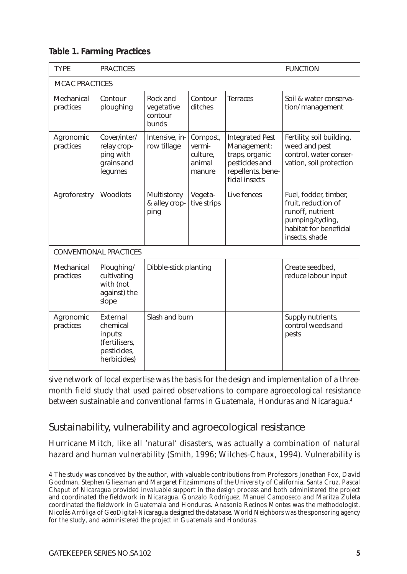|  |  |  | <b>Table 1. Farming Practices</b> |
|--|--|--|-----------------------------------|
|--|--|--|-----------------------------------|

| <b>TYPE</b>                   | <b>PRACTICES</b>                                                               |                                            |                                                    | <b>FUNCTION</b>                                                                                                  |                                                                                                                                  |
|-------------------------------|--------------------------------------------------------------------------------|--------------------------------------------|----------------------------------------------------|------------------------------------------------------------------------------------------------------------------|----------------------------------------------------------------------------------------------------------------------------------|
| <b>MCAC PRACTICES</b>         |                                                                                |                                            |                                                    |                                                                                                                  |                                                                                                                                  |
| Mechanical<br>practices       | Contour<br>ploughing                                                           | Rock and<br>vegetative<br>contour<br>bunds | Contour<br>ditches                                 | <b>Terraces</b>                                                                                                  | Soil & water conserva-<br>tion/ management                                                                                       |
| Agronomic<br>practices        | Cover/inter/<br>relay crop-<br>ping with<br>grains and<br>legumes              | Intensive, in-<br>row tillage              | Compost,<br>vermi-<br>culture.<br>animal<br>manure | <b>Integrated Pest</b><br>Management:<br>traps, organic<br>pesticides and<br>repellents, bene-<br>ficial insects | Fertility, soil building,<br>weed and pest<br>control, water conser-<br>vation, soil protection                                  |
| Agroforestry                  | Woodlots                                                                       | Multistorey<br>& alley crop-<br>ping       | Vegeta-<br>tive strips                             | Live fences                                                                                                      | Fuel, fodder, timber,<br>fruit, reduction of<br>runoff, nutrient<br>pumping/cycling,<br>habitat for beneficial<br>insects, shade |
| <b>CONVENTIONAL PRACTICES</b> |                                                                                |                                            |                                                    |                                                                                                                  |                                                                                                                                  |
| Mechanical<br>practices       | Ploughing/<br>cultivating<br>with (not<br>against) the<br>slope                | Dibble-stick planting                      |                                                    |                                                                                                                  | Create seedbed,<br>reduce labour input                                                                                           |
| Agronomic<br>practices        | External<br>chemical<br>inputs:<br>(fertilisers,<br>pesticides,<br>herbicides) | Slash and burn                             |                                                    |                                                                                                                  | Supply nutrients,<br>control weeds and<br>pests                                                                                  |

sive network of local expertise was the basis for the design and implementation of a threemonth field study that used paired observations to compare agroecological resistance between sustainable and conventional farms in Guatemala, Honduras and Nicaragua.4

### Sustainability, vulnerability and agroecological resistance

Hurricane Mitch, like all 'natural' disasters, was actually a combination of natural hazard and human *vulnerability* (Smith, 1996; Wilches-Chaux, 1994). Vulnerability is

*<sup>4</sup> The study was conceived by the author, with valuable contributions from Professors Jonathan Fox, David Goodman, Stephen Gliessman and Margaret Fitzsimmons of the University of California, Santa Cruz. Pascal Chaput of Nicaragua provided invaluable support in the design process and both administered the project and coordinated the fieldwork in Nicaragua. Gonzalo Rodríguez, Manuel Camposeco and Maritza Zuleta coordinated the fieldwork in Guatemala and Honduras. Anasonia Recinos Montes was the methodologist. Nicolás Arróliga of GeoDigital-Nicaragua designed the database. World Neighbors was the sponsoring agency for the study, and administered the project in Guatemala and Honduras.*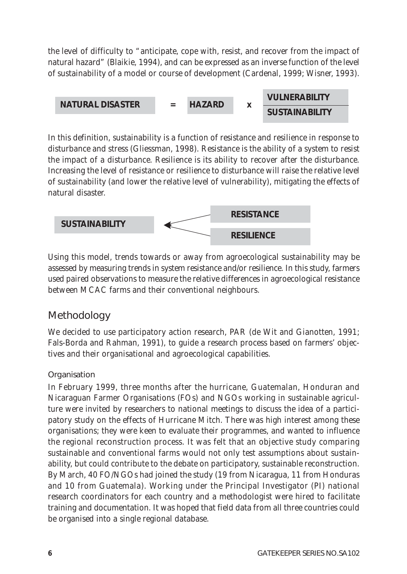the level of difficulty to "*anticipate, cope with, resist, and recover from the impact of natural hazard*" (Blaikie, 1994), and can be expressed as an inverse function of the level of sustainability of a model or course of development (Cardenal, 1999; Wisner, 1993).



In this definition, sustainability is a function of resistance and resilience in response to disturbance and stress (Gliessman, 1998). Resistance is the ability of a system to resist the impact of a disturbance. Resilience is its ability to recover after the disturbance. Increasing the level of resistance or resilience to disturbance will raise the relative level of sustainability (and lower the relative level of vulnerability), mitigating the effects of natural disaster.



Using this model, trends towards or away from agroecological sustainability may be assessed by measuring trends in system resistance and/or resilience. In this study, farmers used paired observations to measure the relative differences in agroecological resistance between MCAC farms and their conventional neighbours.

### **Methodology**

We decided to use participatory action research, PAR (de Wit and Gianotten, 1991; Fals-Borda and Rahman, 1991), to guide a research process based on farmers' objectives and their organisational and agroecological capabilities.

### **Organisation**

In February 1999, three months after the hurricane, Guatemalan, Honduran and Nicaraguan Farmer Organisations (FOs) and NGOs working in sustainable agriculture were invited by researchers to national meetings to discuss the idea of a participatory study on the effects of Hurricane Mitch. There was high interest among these organisations; they were keen to evaluate their programmes, and wanted to influence the regional reconstruction process. It was felt that an objective study comparing sustainable and conventional farms would not only test assumptions about sustainability, but could contribute to the debate on participatory, sustainable reconstruction. By March, 40 FO/NGOs had joined the study (19 from Nicaragua, 11 from Honduras and 10 from Guatemala). Working under the Principal Investigator (PI) national research coordinators for each country and a methodologist were hired to facilitate training and documentation. It was hoped that field data from all three countries could be organised into a single regional database.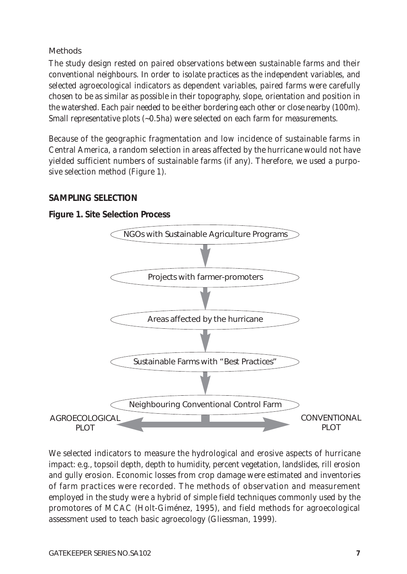Methods

The study design rested on paired observations between sustainable farms and their conventional neighbours. In order to isolate practices as the independent variables, and selected agroecological indicators as dependent variables, paired farms were carefully chosen to be as similar as possible in their topography, slope, orientation and position in the watershed. Each pair needed to be either bordering each other or close nearby (100m). Small representative plots (~0.5ha) were selected on each farm for measurements.

Because of the geographic fragmentation and low incidence of sustainable farms in Central America, a random selection in areas affected by the hurricane would not have yielded sufficient numbers of sustainable farms (if any). Therefore, we used a purposive selection method (Figure 1).

#### **SAMPLING SELECTION**

#### **Figure 1. Site Selection Process**



We selected indicators to measure the hydrological and erosive aspects of hurricane impact: e.g., topsoil depth, depth to humidity, percent vegetation, landslides, rill erosion and gully erosion. Economic losses from crop damage were estimated and inventories of farm practices were recorded. The methods of observation and measurement employed in the study were a hybrid of simple field techniques commonly used by the promotores of MCAC (Holt-Giménez, 1995), and field methods for agroecological assessment used to teach basic agroecology (Gliessman, 1999).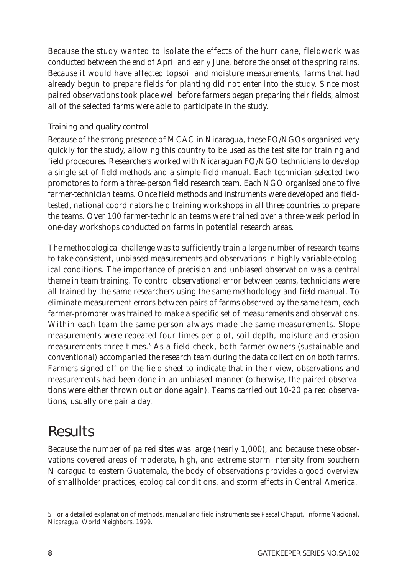Because the study wanted to isolate the effects of the hurricane, fieldwork was conducted between the end of April and early June, before the onset of the spring rains. Because it would have affected topsoil and moisture measurements, farms that had already begun to prepare fields for planting did not enter into the study. Since most paired observations took place well before farmers began preparing their fields, almost all of the selected farms were able to participate in the study.

#### Training and quality control

Because of the strong presence of MCAC in Nicaragua, these FO/NGOs organised very quickly for the study, allowing this country to be used as the test site for training and field procedures. Researchers worked with Nicaraguan FO/NGO technicians to develop a single set of field methods and a simple field manual. Each technician selected two *promotores* to form a three-person field research team. Each NGO organised one to five farmer-technician teams. Once field methods and instruments were developed and fieldtested, national coordinators held training workshops in all three countries to prepare the teams. Over 100 farmer-technician teams were trained over a three-week period in one-day workshops conducted on farms in potential research areas.

The methodological challenge was to sufficiently train a large number of research teams to take consistent, unbiased measurements and observations in highly variable ecological conditions. The importance of precision and unbiased observation was a central theme in team training. To control observational error between teams, technicians were all trained by the same researchers using the same methodology and field manual. To eliminate measurement errors between pairs of farms observed by the same team, each farmer-promoter was trained to make a specific set of measurements and observations. Within each team the same person always made the same measurements. Slope measurements were repeated four times per plot, soil depth, moisture and erosion measurements three times.<sup>5</sup> As a field check, both farmer-owners (sustainable and conventional) accompanied the research team during the data collection on both farms. Farmers signed off on the field sheet to indicate that in their view, observations and measurements had been done in an unbiased manner (otherwise, the paired observations were either thrown out or done again). Teams carried out 10-20 paired observations, usually one pair a day.

## **Results**

Because the number of paired sites was large (nearly 1,000), and because these observations covered areas of moderate, high, and extreme storm intensity from southern Nicaragua to eastern Guatemala, the body of observations provides a good overview of smallholder practices, ecological conditions, and storm effects in Central America.

*<sup>5</sup> For a detailed explanation of methods, manual and field instruments see Pascal Chaput, Informe Nacional, Nicaragua, World Neighbors, 1999.*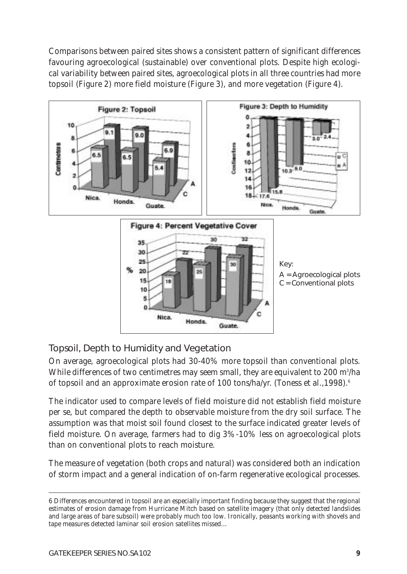Comparisons between paired sites shows a consistent pattern of significant differences favouring agroecological (sustainable) over conventional plots. Despite high ecological variability between paired sites, agroecological plots in all three countries had more topsoil (Figure 2) more field moisture (Figure 3), and more vegetation (Figure 4).



### Topsoil, Depth to Humidity and Vegetation

On average, agroecological plots had 30-40% more topsoil than conventional plots. While differences of two centimetres may seem small, they are equivalent to 200 m $^{\rm 3/h}$ a of topsoil and an approximate erosion rate of 100 tons/ha/yr. (Toness *et al*.,1998).6

The indicator used to compare levels of field moisture did not establish field moisture *per se*, but compared the depth to observable moisture from the dry soil surface. The assumption was that moist soil found closest to the surface indicated greater levels of field moisture. On average, farmers had to dig 3%-10% less on agroecological plots than on conventional plots to reach moisture.

The measure of vegetation (both crops and natural) was considered both an indication of storm impact and a general indication of on-farm regenerative ecological processes.

*<sup>6</sup> Differences encountered in topsoil are an especially important finding because they suggest that the regional estimates of erosion damage from Hurricane Mitch based on satellite imagery (that only detected landslides and large areas of bare subsoil) were probably much too low. Ironically, peasants working with shovels and tape measures detected laminar soil erosion satellites missed…*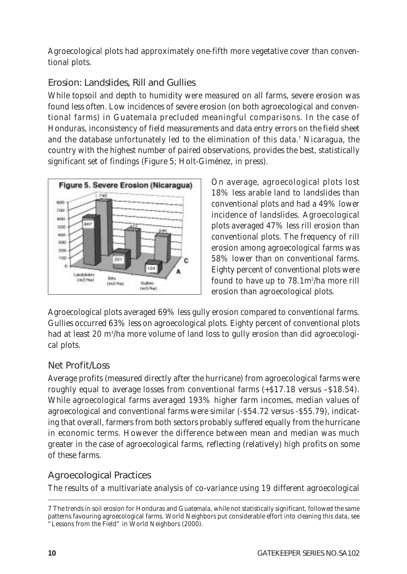Agroecological plots had approximately one-fifth more vegetative cover than conventional plots.

### Erosion: Landslides, Rill and Gullies

While topsoil and depth to humidity were measured on all farms, severe erosion was found less often. Low incidences of severe erosion (on both agroecological and conventional farms) in Guatemala precluded meaningful comparisons. In the case of Honduras, inconsistency of field measurements and data entry errors on the field sheet and the database unfortunately led to the elimination of this data.7 Nicaragua, the country with the highest number of paired observations, provides the best, statistically significant set of findings (Figure 5; Holt-Giménez, in press).



On average, agroecological plots lost 18% less arable land to landslides than conventional plots and had a 49% lower incidence of landslides. Agroecological plots averaged 47% less rill erosion than conventional plots. The frequency of rill erosion among agroecological farms was 58% lower than on conventional farms. Eighty percent of conventional plots were found to have up to 78.1m²/ha more rill erosion than agroecological plots.

Agroecological plots averaged 69% less gully erosion compared to conventional farms. Gullies occurred 63% less on agroecological plots. Eighty percent of conventional plots had at least 20 m3 /ha more volume of land loss to gully erosion than did agroecological plots.

### Net Profit/Loss

Average *profits* (measured directly after the hurricane) from agroecological farms were roughly equal to average *losses* from conventional farms  $(+\$17.18 \text{ versus } -\$18.54)$ . While agroecological farms averaged 193% higher farm incomes, median values of agroecological and conventional farms were similar (-\$54.72 versus -\$55.79), indicating that overall, farmers from both sectors probably suffered equally from the hurricane in economic terms. However the difference between mean and median was much greater in the case of agroecological farms, reflecting (relatively) high profits on some of these farms.

### Agroecological Practices

The results of a multivariate analysis of co-variance using 19 different agroecological

*<sup>7</sup> The trends in soil erosion for Honduras and Guatemala, while not statistically significant, followed the same patterns favouring agroecological farms. World Neighbors put considerable effort into cleaning this data, see "*Lessons from the Field*" in World Neighbors (2000).*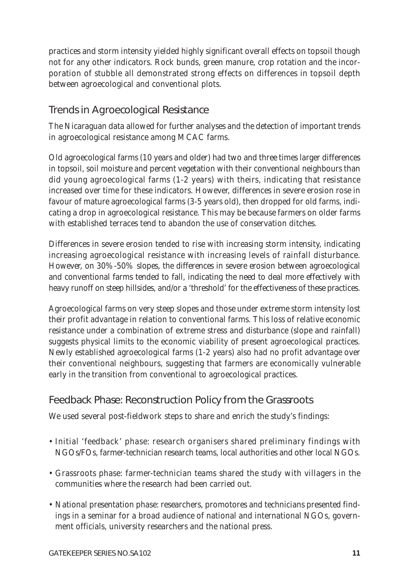practices and storm intensity yielded highly significant overall effects on topsoil though not for any other indicators. Rock bunds, green manure, crop rotation and the incorporation of stubble all demonstrated strong effects on differences in topsoil depth between agroecological and conventional plots.

### Trends in Agroecological Resistance

The Nicaraguan data allowed for further analyses and the detection of important trends in agroecological resistance among MCAC farms.

Old agroecological farms (10 years and older) had two and three times larger differences in topsoil, soil moisture and percent vegetation with their conventional neighbours than did young agroecological farms (1-2 years) with theirs, indicating that resistance increased over time for these indicators. However, differences in severe erosion rose in favour of mature agroecological farms (3-5 years old), then dropped for old farms, indicating a drop in agroecological resistance. This may be because farmers on older farms with established terraces tend to abandon the use of conservation ditches.

Differences in severe erosion tended to rise with increasing storm intensity, indicating increasing agroecological resistance with increasing levels of rainfall disturbance. However, on 30%-50% slopes, the differences in severe erosion between agroecological and conventional farms tended to fall, indicating the need to deal more effectively with heavy runoff on steep hillsides, and/or a 'threshold' for the effectiveness of these practices.

Agroecological farms on very steep slopes and those under extreme storm intensity lost their profit advantage in relation to conventional farms. This loss of relative economic resistance under a combination of extreme stress and disturbance (slope and rainfall) suggests physical limits to the economic viability of present agroecological practices. Newly established agroecological farms (1-2 years) also had no profit advantage over their conventional neighbours, suggesting that farmers are economically vulnerable early in the transition from conventional to agroecological practices.

### Feedback Phase: Reconstruction Policy from the Grassroots

We used several post-fieldwork steps to share and enrich the study's findings:

- Initial 'feedback' phase: research organisers shared preliminary findings with NGOs/FOs, farmer-technician research teams, local authorities and other local NGOs.
- Grassroots phase: farmer-technician teams shared the study with villagers in the communities where the research had been carried out.
- National presentation phase: researchers, promotores and technicians presented findings in a seminar for a broad audience of national and international NGOs, government officials, university researchers and the national press.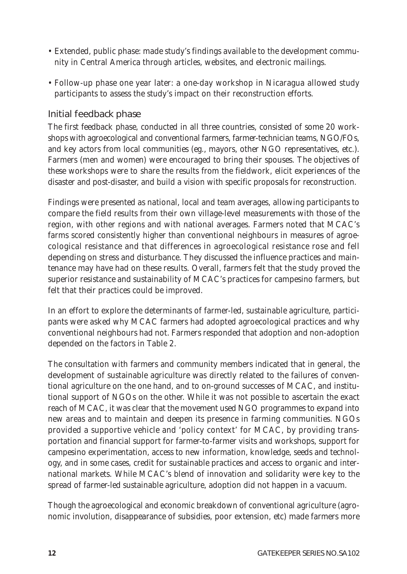- Extended, public phase: made study's findings available to the development community in Central America through articles, websites, and electronic mailings.
- Follow-up phase one year later: a one-day workshop in Nicaragua allowed study participants to assess the study's impact on their reconstruction efforts.

#### Initial feedback phase

The first feedback phase, conducted in all three countries, consisted of some 20 workshops with agroecological and conventional farmers, farmer-technician teams, NGO/FOs, and key actors from local communities (eg., mayors, other NGO representatives, etc.). Farmers (men and women) were encouraged to bring their spouses. The objectives of these workshops were to share the results from the fieldwork, elicit experiences of the disaster and post-disaster, and build a vision with specific proposals for reconstruction.

Findings were presented as national, local and team averages, allowing participants to compare the field results from their own village-level measurements with those of the region, with other regions and with national averages. Farmers noted that MCAC's farms scored consistently higher than conventional neighbours in measures of agroecological resistance and that differences in agroecological resistance rose and fell depending on stress and disturbance. They discussed the influence practices and maintenance may have had on these results. Overall, farmers felt that the study proved the superior resistance and sustainability of MCAC's practices for *campesino* farmers, but felt that their practices could be improved.

In an effort to explore the determinants of farmer-led, sustainable agriculture, participants were asked why MCAC farmers had adopted agroecological practices and why conventional neighbours had not. Farmers responded that adoption and non-adoption depended on the factors in Table 2.

The consultation with farmers and community members indicated that in general, the development of sustainable agriculture was directly related to the failures of conventional agriculture on the one hand, and to on-ground successes of MCAC, and institutional support of NGOs on the other. While it was not possible to ascertain the exact reach of MCAC, it was clear that the movement used NGO programmes to expand into new areas and to maintain and deepen its presence in farming communities. NGOs provided a supportive vehicle and 'policy context' for MCAC, by providing transportation and financial support for farmer-to-farmer visits and workshops, support for *campesino* experimentation, access to new information, knowledge, seeds and technology, and in some cases, credit for sustainable practices and access to organic and international markets. While MCAC's blend of innovation and solidarity were key to the spread of farmer-led sustainable agriculture, adoption did not happen in a vacuum.

Though the agroecological and economic breakdown of conventional agriculture (agronomic involution, disappearance of subsidies, poor extension, etc) made farmers more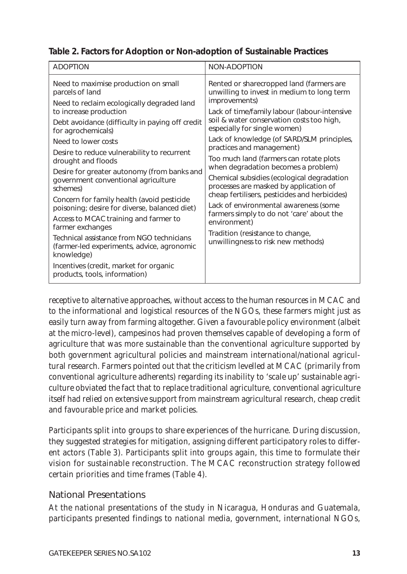**Table 2. Factors for Adoption or Non-adoption of Sustainable Practices**

| <b>ADOPTION</b>                                                                                                                                                                                                                                                                                                                                                                                                                                                                                                                                                                                                                                                                                                                                        | NON-ADOPTION                                                                                                                                                                                                                                                                                                                                                                                                                                                                                                                                                                                                                                                                                                               |
|--------------------------------------------------------------------------------------------------------------------------------------------------------------------------------------------------------------------------------------------------------------------------------------------------------------------------------------------------------------------------------------------------------------------------------------------------------------------------------------------------------------------------------------------------------------------------------------------------------------------------------------------------------------------------------------------------------------------------------------------------------|----------------------------------------------------------------------------------------------------------------------------------------------------------------------------------------------------------------------------------------------------------------------------------------------------------------------------------------------------------------------------------------------------------------------------------------------------------------------------------------------------------------------------------------------------------------------------------------------------------------------------------------------------------------------------------------------------------------------------|
| Need to maximise production on small<br>parcels of land<br>Need to reclaim ecologically degraded land<br>to increase production<br>Debt avoidance (difficulty in paying off credit<br>for agrochemicals)<br>Need to lower costs<br>Desire to reduce vulnerability to recurrent<br>drought and floods<br>Desire for greater autonomy (from banks and<br>government conventional agriculture<br>schemes)<br>Concern for family health (avoid pesticide<br>poisoning; desire for diverse, balanced diet)<br>Access to MCAC training and farmer to<br>farmer exchanges<br>Technical assistance from NGO technicians<br>(farmer-led experiments, advice, agronomic<br>knowledge)<br>Incentives (credit, market for organic<br>products, tools, information) | Rented or sharecropped land (farmers are<br>unwilling to invest in medium to long term<br>improvements)<br>Lack of time/family labour (labour-intensive<br>soil & water conservation costs too high,<br>especially for single women)<br>Lack of knowledge (of SARD/SLM principles,<br>practices and management)<br>Too much land (farmers can rotate plots<br>when degradation becomes a problem)<br>Chemical subsidies (ecological degradation<br>processes are masked by application of<br>cheap fertilisers, pesticides and herbicides)<br>Lack of environmental awareness (some<br>farmers simply to do not 'care' about the<br>environment)<br>Tradition (resistance to change,<br>unwillingness to risk new methods) |

receptive to alternative approaches, without access to the human resources in MCAC and to the informational and logistical resources of the NGOs, these farmers might just as easily turn away from farming altogether. Given a favourable policy environment (albeit at the micro-level), *campesinos* had proven themselves capable of developing a form of agriculture that was more sustainable than the conventional agriculture supported by both government agricultural policies and mainstream international/national agricultural research. Farmers pointed out that the criticism levelled at MCAC (primarily from conventional agriculture adherents) regarding its inability to 'scale up' sustainable agriculture obviated the fact that to replace traditional agriculture, conventional agriculture itself had relied on extensive support from mainstream agricultural research, cheap credit and favourable price and market policies.

Participants split into groups to share experiences of the hurricane. During discussion, they suggested strategies for mitigation, assigning different participatory roles to different actors (Table 3). Participants split into groups again, this time to formulate their vision for sustainable reconstruction. The MCAC reconstruction strategy followed certain priorities and time frames (Table 4).

### National Presentations

At the national presentations of the study in Nicaragua, Honduras and Guatemala, participants presented findings to national media, government, international NGOs,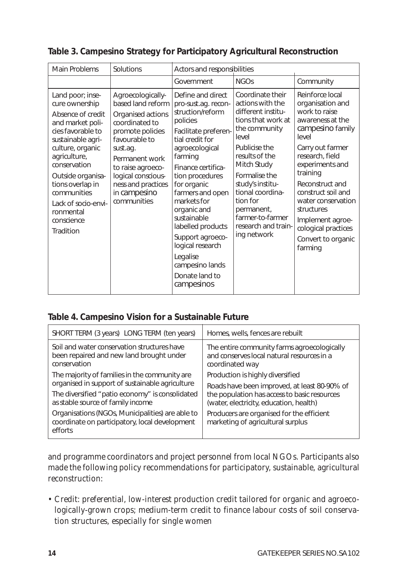| Main Problems                                                                                                                                                                                                                                                                                    | Solutions                                                                                                                                                                                                                                        | Actors and responsibilities                                                                                                                                                                                                                                                                                                                                                                           |                                                                                                                                                                                                                                                                                                           |                                                                                                                                                                                                                                                                                                                                      |
|--------------------------------------------------------------------------------------------------------------------------------------------------------------------------------------------------------------------------------------------------------------------------------------------------|--------------------------------------------------------------------------------------------------------------------------------------------------------------------------------------------------------------------------------------------------|-------------------------------------------------------------------------------------------------------------------------------------------------------------------------------------------------------------------------------------------------------------------------------------------------------------------------------------------------------------------------------------------------------|-----------------------------------------------------------------------------------------------------------------------------------------------------------------------------------------------------------------------------------------------------------------------------------------------------------|--------------------------------------------------------------------------------------------------------------------------------------------------------------------------------------------------------------------------------------------------------------------------------------------------------------------------------------|
|                                                                                                                                                                                                                                                                                                  |                                                                                                                                                                                                                                                  | Government                                                                                                                                                                                                                                                                                                                                                                                            | NGOs                                                                                                                                                                                                                                                                                                      | Community                                                                                                                                                                                                                                                                                                                            |
| Land poor; inse-<br>cure ownership<br>Absence of credit<br>and market poli-<br>cies favorable to<br>sustainable agri-<br>culture, organic<br>agriculture,<br>conservation<br>Outside organisa-<br>tions overlap in<br>communities<br>Lack of socio-envi-<br>ronmental<br>conscience<br>Tradition | Agroecologically-<br>based land reform<br>Organised actions<br>coordinated to<br>promote policies<br>favourable to<br>sust.ag.<br>Permanent work<br>to raise agroeco-<br>logical conscious-<br>ness and practices<br>in campesino<br>communities | Define and direct<br>pro-sust.ag. recon-<br>struction/reform<br>policies<br>Facilitate preferen-<br>tial credit for<br>agroecological<br>farming<br>Finance certifica-<br>tion procedures<br>for organic<br>farmers and open<br>markets for<br>organic and<br>sustainable<br>labelled products<br>Support agroeco-<br>logical research<br>Legalise<br>campesino lands<br>Donate land to<br>campesinos | Coordinate their<br>actions with the<br>different institu-<br>tions that work at<br>the community<br>level<br>Publicise the<br>results of the<br>Mitch Study<br>Formalise the<br>study's institu-<br>tional coordina-<br>tion for<br>permanent,<br>farmer-to-farmer<br>research and train-<br>ing network | Reinforce local<br>organisation and<br>work to raise<br>awareness at the<br>campesino family<br>level<br>Carry out farmer<br>research, field<br>experiments and<br>training<br>Reconstruct and<br>construct soil and<br>water conservation<br>structures<br>Implement agroe-<br>cological practices<br>Convert to organic<br>farming |

### **Table 3. Campesino Strategy for Participatory Agricultural Reconstruction**

#### **Table 4. Campesino Vision for a Sustainable Future**

| SHORT TERM (3 years) LONG TERM (ten years)                                                                    | Homes, wells, fences are rebuilt                                                                                                        |  |
|---------------------------------------------------------------------------------------------------------------|-----------------------------------------------------------------------------------------------------------------------------------------|--|
| Soil and water conservation structures have<br>been repaired and new land brought under<br>conservation       | The entire community farms agroecologically<br>and conserves local natural resources in a<br>coordinated way                            |  |
| The majority of families in the community are                                                                 | Production is highly diversified                                                                                                        |  |
| organised in support of sustainable agriculture                                                               | Roads have been improved, at least 80-90% of<br>the population has access to basic resources<br>(water, electricity, education, health) |  |
| The diversified "patio economy" is consolidated<br>as stable source of family income                          |                                                                                                                                         |  |
| Organisations (NGOs, Municipalities) are able to<br>coordinate on participatory, local development<br>efforts | Producers are organised for the efficient<br>marketing of agricultural surplus                                                          |  |

and programme coordinators and project personnel from local NGOs. Participants also made the following policy recommendations for participatory, sustainable, agricultural reconstruction:

• Credit: preferential, low-interest production credit tailored for organic and agroecologically-grown crops; medium-term credit to finance labour costs of soil conservation structures, especially for single women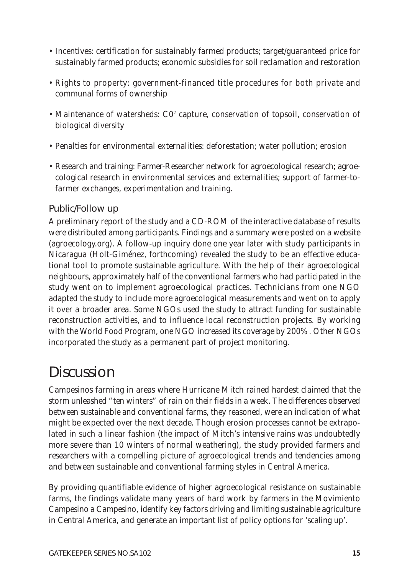- Incentives: certification for sustainably farmed products; target/guaranteed price for sustainably farmed products; economic subsidies for soil reclamation and restoration
- Rights to property: government-financed title procedures for both private and communal forms of ownership
- Maintenance of watersheds:  $CO<sup>2</sup>$  capture, conservation of topsoil, conservation of biological diversity
- Penalties for environmental externalities: deforestation; water pollution; erosion
- Research and training: Farmer-Researcher network for agroecological research; agroecological research in environmental services and externalities; support of farmer-tofarmer exchanges, experimentation and training.

#### Public/Follow up

A preliminary report of the study and a CD-ROM of the interactive database of results were distributed among participants. Findings and a summary were posted on a website (agroecology.org). A follow-up inquiry done one year later with study participants in Nicaragua (Holt-Giménez, forthcoming) revealed the study to be an effective educational tool to promote sustainable agriculture. With the help of their agroecological neighbours, approximately half of the conventional farmers who had participated in the study went on to implement agroecological practices. Technicians from one NGO adapted the study to include more agroecological measurements and went on to apply it over a broader area. Some NGOs used the study to attract funding for sustainable reconstruction activities, and to influence local reconstruction projects. By working with the World Food Program, one NGO increased its coverage by 200%. Other NGOs incorporated the study as a permanent part of project monitoring.

## **Discussion**

*Campesinos* farming in areas where Hurricane Mitch rained hardest claimed that the storm unleashed *"ten winters*" of rain on their fields in a week. The differences observed between sustainable and conventional farms, they reasoned, were an indication of what might be expected over the next decade. Though erosion processes cannot be extrapolated in such a linear fashion (the impact of Mitch's intensive rains was undoubtedly more severe than 10 winters of normal weathering), the study provided farmers and researchers with a compelling picture of agroecological trends and tendencies among and between sustainable and conventional farming styles in Central America.

By providing quantifiable evidence of higher agroecological resistance on sustainable farms, the findings validate many years of hard work by farmers in the *Movimiento Campesino a Campesino*, identify key factors driving and limiting sustainable agriculture in Central America, and generate an important list of policy options for 'scaling up'.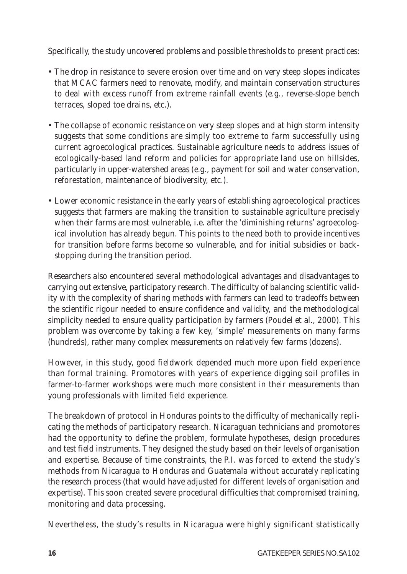Specifically, the study uncovered problems and possible thresholds to present practices:

- The drop in resistance to severe erosion over time and on very steep slopes indicates that MCAC farmers need to renovate, modify, and maintain conservation structures to deal with excess runoff from extreme rainfall events (e.g., reverse-slope bench terraces, sloped toe drains, etc.).
- The collapse of economic resistance on very steep slopes and at high storm intensity suggests that some conditions are simply too extreme to farm successfully using current agroecological practices. Sustainable agriculture needs to address issues of ecologically-based land reform and policies for appropriate land use on hillsides, particularly in upper-watershed areas (e.g., payment for soil and water conservation, reforestation, maintenance of biodiversity, etc.).
- Lower economic resistance in the early years of establishing agroecological practices suggests that farmers are making the transition to sustainable agriculture precisely when their farms are most vulnerable, i.e. after the 'diminishing returns' agroecological involution has already begun. This points to the need both to provide incentives for transition *before* farms become so vulnerable, and for initial subsidies or backstopping during the transition period.

Researchers also encountered several methodological advantages and disadvantages to carrying out extensive, participatory research. The difficulty of balancing scientific validity with the complexity of sharing methods with farmers can lead to tradeoffs between the scientific rigour needed to ensure confidence and validity, and the methodological simplicity needed to ensure quality participation by farmers (Poudel *et al*., 2000). This problem was overcome by taking a few key, 'simple' measurements on many farms (hundreds), rather many complex measurements on relatively few farms (dozens).

However, in this study, good fieldwork depended much more upon field experience than formal training. *Promotores* with years of experience digging soil profiles in farmer-to-farmer workshops were much more consistent in their measurements than young professionals with limited field experience.

The breakdown of protocol in Honduras points to the difficulty of mechanically replicating the methods of participatory research. Nicaraguan technicians and *promotores* had the opportunity to define the problem, formulate hypotheses, design procedures and test field instruments. They designed the study based on *their* levels of organisation and expertise. Because of time constraints, the P.I. was forced to extend the study's *methods* from Nicaragua to Honduras and Guatemala without accurately replicating the research *process* (that would have adjusted for different levels of organisation and expertise). This soon created severe procedural difficulties that compromised training, monitoring and data processing.

Nevertheless, the study's results in Nicaragua were highly significant statistically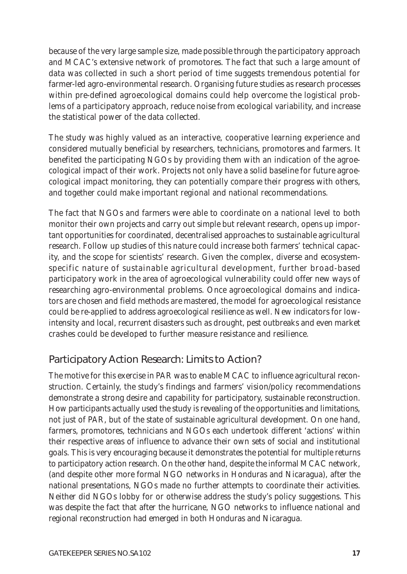because of the very large sample size, made possible through the participatory approach and MCAC's extensive network of promotores. The fact that such a large amount of data was collected in such a short period of time suggests tremendous potential for farmer-led agro-environmental research. Organising future studies as research processes within pre-defined agroecological domains could help overcome the logistical problems of a participatory approach, reduce noise from ecological variability, and increase the statistical power of the data collected.

The study was highly valued as an interactive, cooperative learning experience and considered mutually beneficial by researchers, technicians, promotores and farmers. It benefited the participating NGOs by providing them with an indication of the agroecological impact of their work. Projects not only have a solid baseline for future agroecological impact monitoring, they can potentially compare their progress with others, and together could make important regional and national recommendations.

The fact that NGOs and farmers were able to coordinate on a national level to both monitor their own projects and carry out simple but relevant research, opens up important opportunities for coordinated, decentralised approaches to sustainable agricultural research. Follow up studies of this nature could increase both farmers' technical capacity, and the scope for scientists' research. Given the complex, diverse and ecosystemspecific nature of sustainable agricultural development, further broad-based participatory work in the area of agroecological vulnerability could offer new ways of researching agro-environmental problems. Once agroecological domains and indicators are chosen and field methods are mastered, the model for agroecological resistance could be re-applied to address agroecological resilience as well. New indicators for lowintensity and local, recurrent disasters such as drought, pest outbreaks and even market crashes could be developed to further measure resistance and resilience.

### Participatory Action Research: Limits to Action?

The motive for this exercise in PAR was to enable MCAC to influence agricultural reconstruction. Certainly, the study's findings and farmers' vision/policy recommendations demonstrate a strong desire and capability for participatory, sustainable reconstruction. How participants actually used the study is revealing of the opportunities and limitations, not just of PAR, but of the state of sustainable agricultural development. On one hand, farmers, *promotores*, technicians and NGOs each undertook different 'actions' within their respective areas of influence to advance their own sets of social and institutional goals. This is very encouraging because it demonstrates the potential for multiple returns to participatory action research. On the other hand, despite the informal MCAC network, (and despite other more formal NGO networks in Honduras and Nicaragua), after the national presentations, NGOs made no further attempts to coordinate their activities. Neither did NGOs lobby for or otherwise address the study's policy suggestions. This was despite the fact that after the hurricane, NGO networks to influence national and regional reconstruction had emerged in both Honduras and Nicaragua.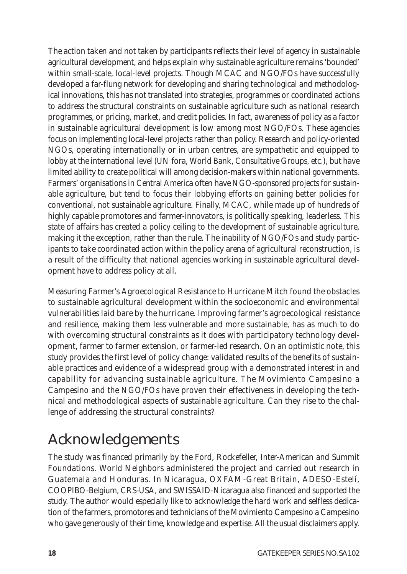The action taken and not taken by participants reflects their level of agency in sustainable agricultural development, and helps explain why sustainable agriculture remains 'bounded' within small-scale, local-level projects. Though MCAC and NGO/FOs have successfully developed a far-flung network for developing and sharing technological and methodological innovations, this has not translated into strategies, programmes or coordinated actions to address the structural constraints on sustainable agriculture such as national research programmes, or pricing, market, and credit policies. In fact, awareness of policy as a factor in sustainable agricultural development is low among most NGO/FOs. These agencies focus on implementing local-level projects rather than policy. Research and policy-oriented NGOs, operating internationally or in urban centres, are sympathetic and equipped to lobby at the international level (UN fora, World Bank, Consultative Groups, etc.), but have limited ability to create political will among decision-makers within national governments. Farmers' organisations in Central America often have NGO-sponsored projects for sustainable agriculture, but tend to focus their lobbying efforts on gaining better policies for conventional, not sustainable agriculture. Finally, MCAC, while made up of hundreds of highly capable *promotores* and farmer-innovators, is politically speaking, leaderless. This state of affairs has created a *policy ceiling* to the development of sustainable agriculture, making it the exception, rather than the rule. The inability of NGO/FOs and study participants to take coordinated action within the policy arena of agricultural reconstruction, is a result of the difficulty that national agencies working in sustainable agricultural development have to address policy at all.

*Measuring Farmer's Agroecological Resistance to Hurricane Mitch* found the obstacles to sustainable agricultural development within the socioeconomic and environmental vulnerabilities laid bare by the hurricane. Improving farmer's agroecological resistance and resilience, making them less vulnerable and more sustainable, has as much to do with overcoming structural constraints as it does with participatory technology development, farmer to farmer extension, or farmer-led research. On an optimistic note, this study provides the first level of policy change: validated results of the benefits of sustainable practices and evidence of a widespread group with a demonstrated interest in and capability for advancing sustainable agriculture. The *Movimiento Campesino a Campesino* and the NGO/FOs have proven their effectiveness in developing the technical and methodological aspects of sustainable agriculture. Can they rise to the challenge of addressing the structural constraints?

# Acknowledgements

The study was financed primarily by the Ford, Rockefeller, Inter-American and Summit Foundations. World Neighbors administered the project and carried out research in Guatemala and Honduras. In Nicaragua, OXFAM-Great Britain, ADESO-Estelí, COOPIBO-Belgium, CRS-USA, and SWISSAID-Nicaragua also financed and supported the study. The author would especially like to acknowledge the hard work and selfless dedication of the farmers, promotores and technicians of the *Movimiento Campesino a Campesino* who gave generously of their time, knowledge and expertise. All the usual disclaimers apply.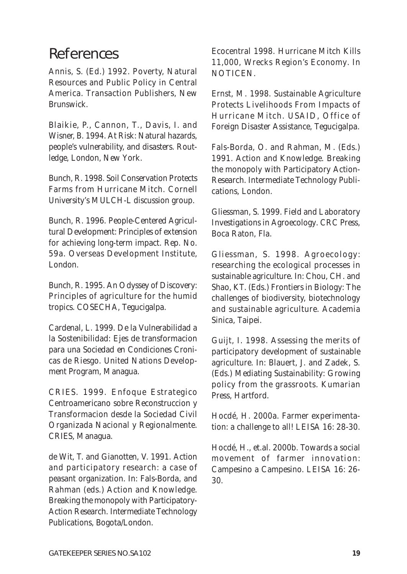### References

Annis, S. (Ed.) 1992. *Poverty, Natural Resources and Public Policy in Central America*. Transaction Publishers, New Brunswick.

Blaikie, P., Cannon, T., Davis, I. and Wisner, B. 1994. *At Risk: Natural hazards, people's vulnerability, and disasters*. Routledge, London, New York.

Bunch, R. 1998. *Soil Conservation Protects Farms from Hurricane Mitch*. Cornell University's MULCH-L discussion group.

Bunch, R. 1996. *People-Centered Agricultural Development: Principles of extension for achieving long-term impact*. Rep. No. 59a. Overseas Development Institute, London.

Bunch, R. 1995. *An Odyssey of Discovery: Principles of agriculture for the humid tropics*. COSECHA, Tegucigalpa.

Cardenal, L. 1999. *De la Vulnerabilidad a la Sostenibilidad: Ejes de transformacion para una Sociedad en Condiciones Cronicas de Riesgo*. United Nations Development Program, Managua.

CRIES. 1999. *Enfoque Estrategico Centroamericano sobre Reconstruccion y Transformacion desde la Sociedad Civil Organizada Nacional y Regionalmente*. CRIES, Managua.

de Wit, T. and Gianotten, V. 1991. Action and participatory research: a case of peasant organization. In: Fals-Borda, and Rahman (eds.) *Action and Knowledge. Breaking the monopoly with Participatory-Action Research*. Intermediate Technology Publications, Bogota/London.

Ecocentral 1998. *Hurricane Mitch Kills 11,000, Wrecks Region's Economy*. In *NOTICEN*.

Ernst, M. 1998. *Sustainable Agriculture Protects Livelihoods From Impacts of Hurricane Mitch*. USAID, Office of Foreign Disaster Assistance, Tegucigalpa.

Fals-Borda, O. and Rahman, M. (Eds.) 1991. *Action and Knowledge. Breaking the monopoly with Participatory Action-Research*. Intermediate Technology Publications, London.

Gliessman, S. 1999. *Field and Laboratory Investigations in Agroecology*. CRC Press, Boca Raton, Fla.

Gliessman, S. 1998. Agroecology: researching the ecological processes in sustainable agriculture. In: Chou, CH. and Shao, KT. (Eds.) *Frontiers in Biology: The challenges of biodiversity, biotechnology and sustainable agriculture*. Academia Sinica, Taipei.

Guijt, I. 1998. Assessing the merits of participatory development of sustainable agriculture. In: Blauert, J. and Zadek, S. (Eds.) *Mediating Sustainability: Growing policy from the grassroots*. Kumarian Press, Hartford.

Hocdé, H. 2000a. Farmer experimentation: a challenge to all! *LEISA* 16: 28-30.

Hocdé, H., et.al. 2000b. Towards a social movement of farmer innovation: Campesino a Campesino. *LEISA* 16: 26- 30.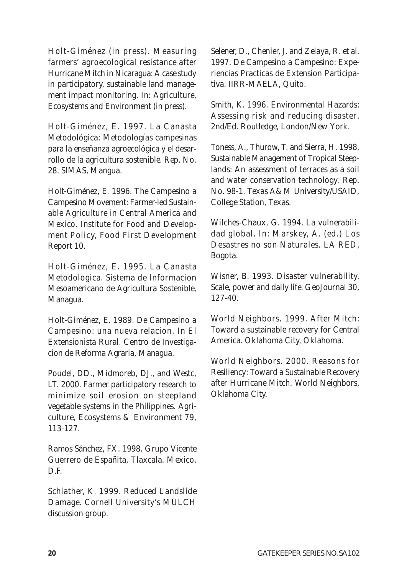Holt-Giménez (in press). Measuring farmers' agroecological resistance after Hurricane Mitch in Nicaragua: A case study in participatory, sustainable land management impact monitoring. In: *Agriculture, Ecosystems and Environment* (in press).

Holt-Giménez, E. 1997. *La Canasta Metodológica: Metodologías campesinas para la enseñanza agroecológica y el desarrollo de la agricultura sostenible*. Rep. No. 28. SIMAS, Mangua.

Holt-Giménez, E. 1996. The Campesino a Campesino Movement: Farmer-led Sustainable Agriculture in Central America and Mexico. *Institute for Food and Development Policy, Food First Development Report* 10.

Holt-Giménez, E. 1995. *La Canasta Metodologica*. Sistema de Informacion Mesoamericano de Agricultura Sostenible, Managua.

Holt-Giménez, E. 1989. De Campesino a Campesino: una nueva relacion. In *El Extensionista Rural*. Centro de Investigacion de Reforma Agraria, Managua.

Poudel, DD., Midmoreb, DJ., and Westc, LT. 2000. Farmer participatory research to minimize soil erosion on steepland vegetable systems in the Philippines. *Agriculture, Ecosystems & Environment* 79, 113-127.

Ramos Sánchez, FX. 1998. *Grupo Vicente Guerrero de Españita, Tlaxcala*. Mexico, D.F.

Schlather, K. 1999. *Reduced Landslide Damage*. Cornell University's MULCH discussion group.

Selener, D., Chenier, J. and Zelaya, R. et al. 1997. *De Campesino a Campesino: Experiencias Practicas de Extension Participativa*. IIRR-MAELA, Quito.

Smith, K. 1996. *Environmental Hazards: Assessing risk and reducing disaster*. 2nd/Ed. Routledge, London/New York.

Toness, A., Thurow, T. and Sierra, H. 1998. *Sustainable Management of Tropical Steeplands: An assessment of terraces as a soil and water conservation technology*. Rep. No. 98-1. Texas A&M University/USAID, College Station, Texas.

Wilches-Chaux, G. 1994. La vulnerabilidad global. In: Marskey, A. (ed.) *Los Desastres no son Naturales*. LA RED, Bogota.

Wisner, B. 1993. Disaster vulnerability. Scale, power and daily life. *GeoJournal* 30, 127-40.

World Neighbors. 1999. *After Mitch: Toward a sustainable recovery for Central America*. Oklahoma City, Oklahoma.

World Neighbors. 2000. *Reasons for Resiliency: Toward a Sustainable Recovery after Hurricane Mitch*. World Neighbors, Oklahoma City.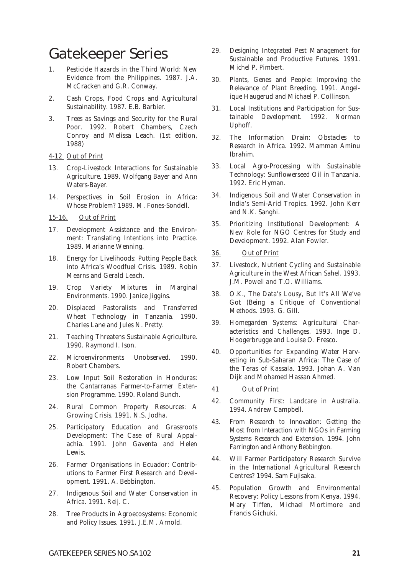## Gatekeeper Series

- 1. Pesticide Hazards in the Third World: New Evidence from the Philippines. 1987. J.A. McCracken and G.R. Conway.
- 2. Cash Crops, Food Crops and Agricultural Sustainability. 1987. E.B. Barbier.
- 3. Trees as Savings and Security for the Rural Poor. 1992. Robert Chambers, Czech Conroy and Melissa Leach. (1st edition, 1988)

#### *4-12 Out of Print*

- 13. Crop-Livestock Interactions for Sustainable Agriculture. 1989. Wolfgang Bayer and Ann Waters-Bayer.
- 14. Perspectives in Soil Erosion in Africa: Whose Problem? 1989. M. Fones-Sondell.

#### *15-16. Out of Print*

- 17. Development Assistance and the Environment: Translating Intentions into Practice. 1989. Marianne Wenning.
- 18. Energy for Livelihoods: Putting People Back into Africa's Woodfuel Crisis. 1989. Robin Mearns and Gerald Leach.
- 19. Crop Variety Mixtures in Marginal Environments. 1990. Janice Jiggins.
- 20. Displaced Pastoralists and Transferred Wheat Technology in Tanzania. 1990. Charles Lane and Jules N. Pretty.
- 21. Teaching Threatens Sustainable Agriculture. 1990. Raymond I. Ison.
- 22. Microenvironments Unobserved. 1990. Robert Chambers.
- 23. Low Input Soil Restoration in Honduras: the Cantarranas Farmer-to-Farmer Extension Programme. 1990. Roland Bunch.
- 24. Rural Common Property Resources: A Growing Crisis. 1991. N.S. Jodha.
- 25. Participatory Education and Grassroots Development: The Case of Rural Appalachia. 1991. John Gaventa and Helen Lewis.
- 26. Farmer Organisations in Ecuador: Contributions to Farmer First Research and Development. 1991. A. Bebbington.
- 27. Indigenous Soil and Water Conservation in Africa. 1991. Reij. C.
- 28. Tree Products in Agroecosystems: Economic and Policy Issues. 1991. J.E.M. Arnold.
- 29. Designing Integrated Pest Management for Sustainable and Productive Futures. 1991. Michel P. Pimbert.
- 30. Plants, Genes and People: Improving the Relevance of Plant Breeding. 1991. Angelique Haugerud and Michael P. Collinson.
- 31. Local Institutions and Participation for Sustainable Development. 1992. Norman Uphoff.
- 32. The Information Drain: Obstacles to Research in Africa. 1992. Mamman Aminu Ibrahim.
- 33. Local Agro-Processing with Sustainable Technology: Sunflowerseed Oil in Tanzania. 1992. Eric Hyman.
- 34. Indigenous Soil and Water Conservation in India's Semi-Arid Tropics. 1992. John Kerr and N.K. Sanghi.
- 35. Prioritizing Institutional Development: A New Role for NGO Centres for Study and Development. 1992. Alan Fowler.
- *36. Out of Print*
- 37. Livestock, Nutrient Cycling and Sustainable Agriculture in the West African Sahel. 1993. J.M. Powell and T.O. Williams.
- 38. O.K., The Data's Lousy, But It's All We've Got (Being a Critique of Conventional Methods. 1993. G. Gill.
- 39. Homegarden Systems: Agricultural Characteristics and Challenges. 1993. Inge D. Hoogerbrugge and Louise O. Fresco.
- 40. Opportunities for Expanding Water Harvesting in Sub-Saharan Africa: The Case of the Teras of Kassala. 1993. Johan A. Van Dijk and Mohamed Hassan Ahmed.
- *41 Out of Print*
- 42. Community First: Landcare in Australia. 1994. Andrew Campbell.
- 43. From Research to Innovation: Getting the Most from Interaction with NGOs in Farming Systems Research and Extension. 1994. John Farrington and Anthony Bebbington.
- 44. Will Farmer Participatory Research Survive in the International Agricultural Research Centres? 1994. Sam Fujisaka.
- 45. Population Growth and Environmental Recovery: Policy Lessons from Kenya. 1994. Mary Tiffen, Michael Mortimore and Francis Gichuki.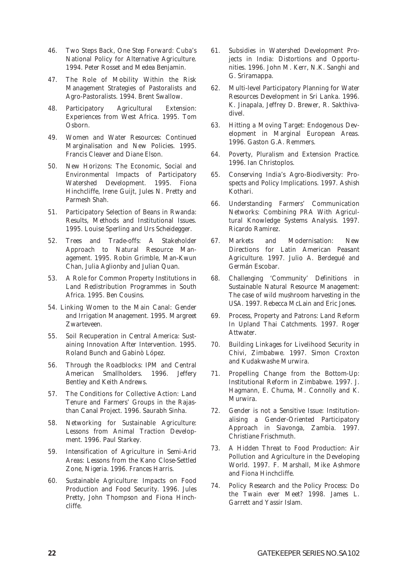- 46. Two Steps Back, One Step Forward: Cuba's National Policy for Alternative Agriculture. 1994. Peter Rosset and Medea Benjamin.
- 47. The Role of Mobility Within the Risk Management Strategies of Pastoralists and Agro-Pastoralists. 1994. Brent Swallow.
- 48. Participatory Agricultural Extension: Experiences from West Africa. 1995. Tom Osborn.
- 49. Women and Water Resources: Continued Marginalisation and New Policies. 1995. Francis Cleaver and Diane Elson.
- 50. New Horizons: The Economic, Social and Environmental Impacts of Participatory Watershed Development. 1995. Fiona Hinchcliffe, Irene Guijt, Jules N. Pretty and Parmesh Shah.
- 51. Participatory Selection of Beans in Rwanda: Results, Methods and Institutional Issues. 1995. Louise Sperling and Urs Scheidegger.
- 52. Trees and Trade-offs: A Stakeholder Approach to Natural Resource Management. 1995. Robin Grimble, Man-Kwun Chan, Julia Aglionby and Julian Quan.
- 53. A Role for Common Property Institutions in Land Redistribution Programmes in South Africa. 1995. Ben Cousins.
- 54. Linking Women to the Main Canal: Gender and Irrigation Management. 1995. Margreet Zwarteveen.
- 55. Soil Recuperation in Central America: Sustaining Innovation After Intervention. 1995. Roland Bunch and Gabinò López.
- 56. Through the Roadblocks: IPM and Central American Smallholders. 1996. Jeffery Bentley and Keith Andrews.
- 57. The Conditions for Collective Action: Land Tenure and Farmers' Groups in the Rajasthan Canal Project. 1996. Saurabh Sinha.
- 58. Networking for Sustainable Agriculture: Lessons from Animal Traction Development. 1996. Paul Starkey.
- 59. Intensification of Agriculture in Semi-Arid Areas: Lessons from the Kano Close-Settled Zone, Nigeria. 1996. Frances Harris.
- 60. Sustainable Agriculture: Impacts on Food Production and Food Security. 1996. Jules Pretty, John Thompson and Fiona Hinchcliffe.
- 61. Subsidies in Watershed Development Projects in India: Distortions and Opportunities. 1996. John M. Kerr, N.K. Sanghi and G. Sriramappa.
- 62. Multi-level Participatory Planning for Water Resources Development in Sri Lanka. 1996. K. Jinapala, Jeffrey D. Brewer, R. Sakthivadivel.
- 63. Hitting a Moving Target: Endogenous Development in Marginal European Areas. 1996. Gaston G.A. Remmers.
- 64. Poverty, Pluralism and Extension Practice. 1996. Ian Christoplos.
- 65. Conserving India's Agro-Biodiversity: Prospects and Policy Implications. 1997. Ashish Kothari.
- 66. Understanding Farmers' Communication Networks: Combining PRA With Agricultural Knowledge Systems Analysis. 1997. Ricardo Ramirez.
- 67. Markets and Modernisation: New Directions for Latin American Peasant Agriculture. 1997. Julio A. Berdegué and Germán Escobar.
- 68. Challenging 'Community' Definitions in Sustainable Natural Resource Management: The case of wild mushroom harvesting in the USA. 1997. Rebecca McLain and Eric Jones.
- 69. Process, Property and Patrons: Land Reform In Upland Thai Catchments. 1997. Roger Attwater.
- 70. Building Linkages for Livelihood Security in Chivi, Zimbabwe. 1997. Simon Croxton and Kudakwashe Murwira.
- 71. Propelling Change from the Bottom-Up: Institutional Reform in Zimbabwe. 1997. J. Hagmann, E. Chuma, M. Connolly and K. Murwira.
- 72. Gender is not a Sensitive Issue: Institutionalising a Gender-Oriented Participatory Approach in Siavonga, Zambia. 1997. Christiane Frischmuth.
- 73. A Hidden Threat to Food Production: Air Pollution and Agriculture in the Developing World. 1997. F. Marshall, Mike Ashmore and Fiona Hinchcliffe.
- 74. Policy Research and the Policy Process: Do the Twain ever Meet? 1998. James L. Garrett and Yassir Islam.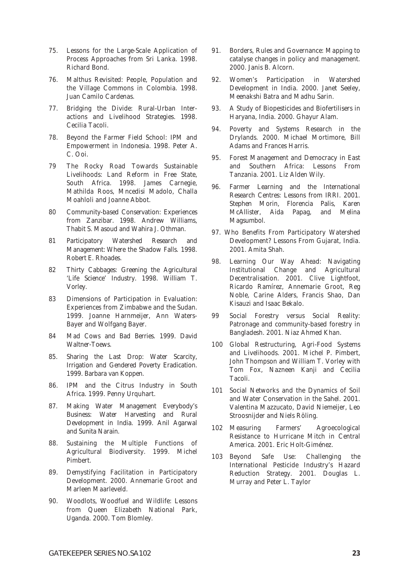- 75. Lessons for the Large-Scale Application of Process Approaches from Sri Lanka. 1998. Richard Bond.
- 76. Malthus Revisited: People, Population and the Village Commons in Colombia. 1998. Juan Camilo Cardenas.
- 77. Bridging the Divide: Rural-Urban Interactions and Livelihood Strategies. 1998. Cecilia Tacoli.
- 78. Beyond the Farmer Field School: IPM and Empowerment in Indonesia. 1998. Peter A. C. Ooi.
- 79 The Rocky Road Towards Sustainable Livelihoods: Land Reform in Free State, South Africa. 1998. James Carnegie, Mathilda Roos, Mncedisi Madolo, Challa Moahloli and Joanne Abbot.
- 80 Community-based Conservation: Experiences from Zanzibar. 1998. Andrew Williams, Thabit S. Masoud and Wahira J. Othman.
- 81 Participatory Watershed Research and Management: Where the Shadow Falls. 1998. Robert E. Rhoades.
- 82 Thirty Cabbages: Greening the Agricultural 'Life Science' Industry. 1998. William T. Vorley.
- 83 Dimensions of Participation in Evaluation: Experiences from Zimbabwe and the Sudan. 1999. Joanne Harnmeijer, Ann Waters-Bayer and Wolfgang Bayer.
- 84 Mad Cows and Bad Berries. 1999. David Waltner-Toews.
- 85. Sharing the Last Drop: Water Scarcity, Irrigation and Gendered Poverty Eradication. 1999. Barbara van Koppen.
- 86. IPM and the Citrus Industry in South Africa. 1999. Penny Urquhart.
- 87. Making Water Management Everybody's Business: Water Harvesting and Rural Development in India. 1999. Anil Agarwal and Sunita Narain.
- 88. Sustaining the Multiple Functions of Agricultural Biodiversity. 1999. Michel Pimbert.
- 89. Demystifying Facilitation in Participatory Development. 2000. Annemarie Groot and Marleen Maarleveld.
- 90. Woodlots, Woodfuel and Wildlife: Lessons from Queen Elizabeth National Park, Uganda. 2000. Tom Blomley.
- 91. Borders, Rules and Governance: Mapping to catalyse changes in policy and management. 2000. Janis B. Alcorn.
- 92. Women's Participation in Watershed Development in India. 2000. Janet Seeley, Meenakshi Batra and Madhu Sarin.
- 93. A Study of Biopesticides and Biofertilisers in Haryana, India. 2000. Ghayur Alam.
- 94. Poverty and Systems Research in the Drylands. 2000. Michael Mortimore, Bill Adams and Frances Harris.
- 95. Forest Management and Democracy in East and Southern Africa: Lessons From Tanzania. 2001. Liz Alden Wily.
- 96. Farmer Learning and the International Research Centres: Lessons from IRRI. 2001. Stephen Morin, Florencia Palis, Karen McAllister, Aida Papag, and Melina Magsumbol.
- 97. Who Benefits From Participatory Watershed Development? Lessons From Gujarat, India. 2001. Amita Shah.
- 98. Learning Our Way Ahead: Navigating Institutional Change and Agricultural Decentralisation. 2001. Clive Lightfoot, Ricardo Ramírez, Annemarie Groot, Reg Noble, Carine Alders, Francis Shao, Dan Kisauzi and Isaac Bekalo.
- 99 Social Forestry versus Social Reality: Patronage and community-based forestry in Bangladesh. 2001. Niaz Ahmed Khan.
- 100 Global Restructuring, Agri-Food Systems and Livelihoods. 2001. Michel P. Pimbert, John Thompson and William T. Vorley with Tom Fox, Nazneen Kanji and Cecilia Tacoli.
- 101 Social Networks and the Dynamics of Soil and Water Conservation in the Sahel. 2001. Valentina Mazzucato, David Niemeijer, Leo Stroosnijder and Niels Röling.
- 102 Measuring Farmers' Agroecological Resistance to Hurricane Mitch in Central America. 2001. Eric Holt-Giménez.
- 103 Beyond Safe Use: Challenging the International Pesticide Industry's Hazard Reduction Strategy. 2001. Douglas L. Murray and Peter L. Taylor